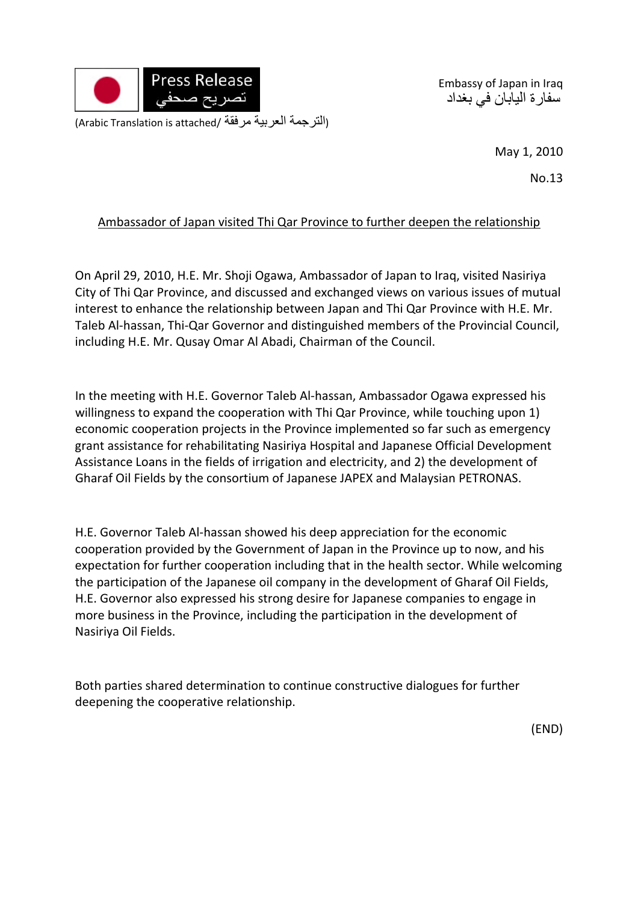

Embassy of Japan in Iraq سفارة اليابان في بغداد

May 1, 2010

No.13

## Ambassador of Japan visited Thi Qar Province to further deepen the relationship

On April 29, 2010, H.E. Mr. Shoji Ogawa, Ambassador of Japan to Iraq, visited Nasiriya City of Thi Qar Province, and discussed and exchanged views on various issues of mutual interest to enhance the relationship between Japan and Thi Qar Province with H.E. Mr. Taleb Al‐hassan, Thi‐Qar Governor and distinguished members of the Provincial Council, including H.E. Mr. Qusay Omar Al Abadi, Chairman of the Council.

In the meeting with H.E. Governor Taleb Al-hassan, Ambassador Ogawa expressed his willingness to expand the cooperation with Thi Qar Province, while touching upon 1) economic cooperation projects in the Province implemented so far such as emergency grant assistance for rehabilitating Nasiriya Hospital and Japanese Official Development Assistance Loans in the fields of irrigation and electricity, and 2) the development of Gharaf Oil Fields by the consortium of Japanese JAPEX and Malaysian PETRONAS.

H.E. Governor Taleb Al‐hassan showed his deep appreciation for the economic cooperation provided by the Government of Japan in the Province up to now, and his expectation for further cooperation including that in the health sector. While welcoming the participation of the Japanese oil company in the development of Gharaf Oil Fields, H.E. Governor also expressed his strong desire for Japanese companies to engage in more business in the Province, including the participation in the development of Nasiriya Oil Fields.

Both parties shared determination to continue constructive dialogues for further deepening the cooperative relationship.

(END)